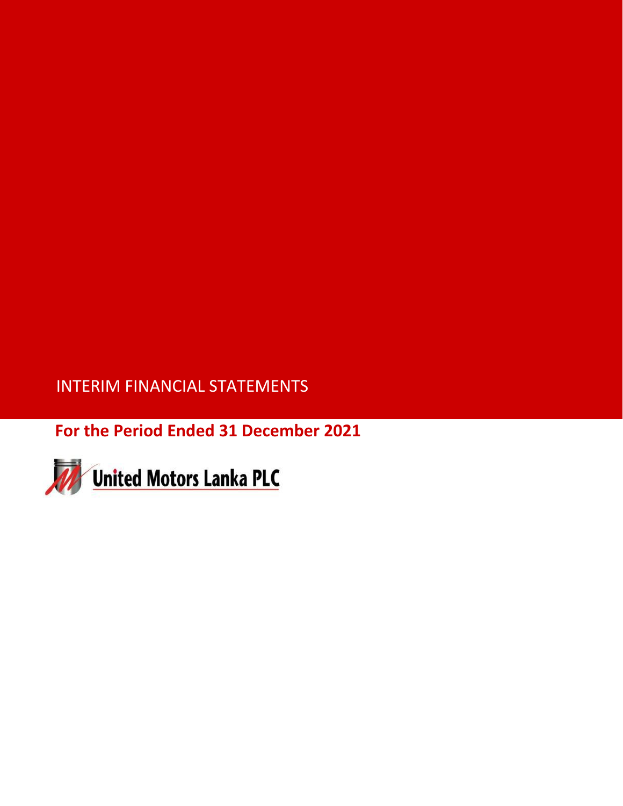INTERIM FINANCIAL STATEMENTS

**For the Period Ended 31 December 2021**

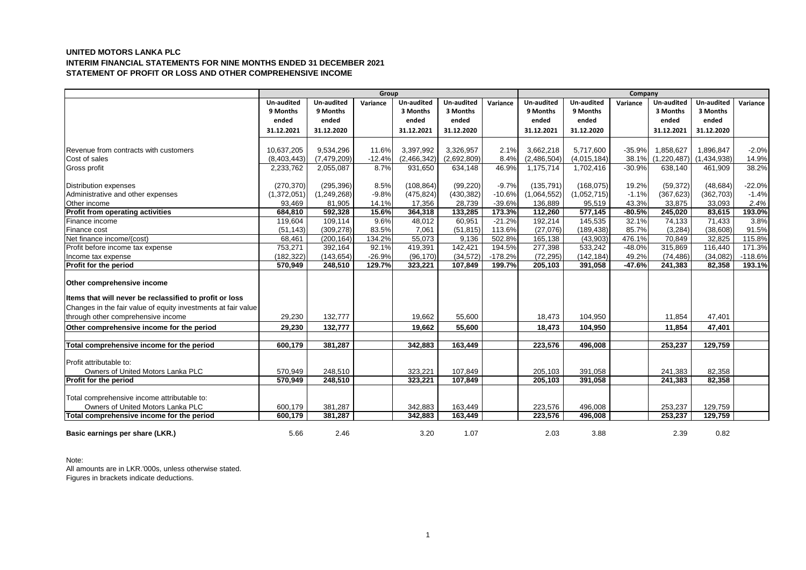# **UNITED MOTORS LANKA PLC INTERIM FINANCIAL STATEMENTS FOR NINE MONTHS ENDED 31 DECEMBER 2021 STATEMENT OF PROFIT OR LOSS AND OTHER COMPREHENSIVE INCOME**

|                                                               | Group       |               |          |                   | Company           |           |             |             |          |             |             |           |
|---------------------------------------------------------------|-------------|---------------|----------|-------------------|-------------------|-----------|-------------|-------------|----------|-------------|-------------|-----------|
|                                                               | Un-audited  | Un-audited    | Variance | <b>Un-audited</b> | <b>Un-audited</b> | Variance  | Un-audited  | Un-audited  | Variance | Un-audited  | Un-audited  | Variance  |
|                                                               | 9 Months    | 9 Months      |          | 3 Months          | 3 Months          |           | 9 Months    | 9 Months    |          | 3 Months    | 3 Months    |           |
|                                                               | ended       | ended         |          | ended             | ended             |           | ended       | ended       |          | ended       | ended       |           |
|                                                               | 31.12.2021  | 31.12.2020    |          | 31.12.2021        | 31.12.2020        |           | 31.12.2021  | 31.12.2020  |          | 31.12.2021  | 31.12.2020  |           |
|                                                               |             |               |          |                   |                   |           |             |             |          |             |             |           |
| Revenue from contracts with customers                         | 10,637,205  | 9,534,296     | 11.6%    | 3,397,992         | 3,326,957         | 2.1%      | 3,662,218   | 5,717,600   | $-35.9%$ | 1,858,627   | 1,896,847   | $-2.0%$   |
| Cost of sales                                                 | (8,403,443) | (7, 479, 209) | $-12.4%$ | (2,466,342)       | (2,692,809)       | 8.4%      | (2,486,504) | (4,015,184) | 38.1%    | (1,220,487) | (1,434,938) | 14.9%     |
| Gross profit                                                  | 2,233,762   | 2,055,087     | 8.7%     | 931,650           | 634,148           | 46.9%     | 1,175,714   | 1,702,416   | $-30.9%$ | 638,140     | 461,909     | 38.2%     |
|                                                               |             |               |          |                   |                   |           |             |             |          |             |             |           |
| <b>Distribution expenses</b>                                  | (270, 370)  | (295, 396)    | 8.5%     | (108, 864)        | (99, 220)         | $-9.7%$   | (135, 791)  | (168, 075)  | 19.2%    | (59, 372)   | (48, 684)   | $-22.0%$  |
| Administrative and other expenses                             | (1,372,051) | (1, 249, 268) | $-9.8%$  | (475, 824)        | (430, 382)        | $-10.6%$  | (1,064,552) | (1,052,715) | $-1.1%$  | (367, 623)  | (362, 703)  | $-1.4%$   |
| Other income                                                  | 93,469      | 81,905        | 14.1%    | 17,356            | 28,739            | $-39.6%$  | 136,889     | 95,519      | 43.3%    | 33,875      | 33,093      | 2.4%      |
| Profit from operating activities                              | 684,810     | 592,328       | 15.6%    | 364,318           | 133,285           | 173.3%    | 112,260     | 577,145     | $-80.5%$ | 245,020     | 83,615      | 193.0%    |
| Finance income                                                | 119.604     | 109.114       | 9.6%     | 48,012            | 60.951            | $-21.2%$  | 192,214     | 145,535     | 32.1%    | 74.133      | 71.433      | 3.8%      |
| Finance cost                                                  | (51, 143)   | (309, 278)    | 83.5%    | 7,061             | (51, 815)         | 113.6%    | (27,076)    | (189, 438)  | 85.7%    | (3,284)     | (38,608)    | 91.5%     |
| Net finance income/(cost)                                     | 68,461      | (200, 164)    | 134.2%   | 55,073            | 9,136             | 502.8%    | 165,138     | (43,903)    | 476.1%   | 70,849      | 32,825      | 115.8%    |
| Profit before income tax expense                              | 753,271     | 392,164       | 92.1%    | 419,391           | 142,421           | 194.5%    | 277,398     | 533,242     | $-48.0%$ | 315,869     | 116,440     | 171.3%    |
| Income tax expense                                            | (182, 322)  | (143, 654)    | $-26.9%$ | (96, 170)         | (34, 572)         | $-178.2%$ | (72, 295)   | (142, 184)  | 49.2%    | (74, 486)   | (34,082)    | $-118.6%$ |
| Profit for the period                                         | 570,949     | 248,510       | 129.7%   | 323,221           | 107,849           | 199.7%    | 205,103     | 391,058     | $-47.6%$ | 241,383     | 82,358      | 193.1%    |
| Other comprehensive income                                    |             |               |          |                   |                   |           |             |             |          |             |             |           |
| Items that will never be reclassified to profit or loss       |             |               |          |                   |                   |           |             |             |          |             |             |           |
| Changes in the fair value of equity investments at fair value |             |               |          |                   |                   |           |             |             |          |             |             |           |
| through other comprehensive income                            | 29,230      | 132,777       |          | 19.662            | 55,600            |           | 18,473      | 104,950     |          | 11,854      | 47,401      |           |
| Other comprehensive income for the period                     | 29,230      | 132,777       |          | 19,662            | 55,600            |           | 18,473      | 104,950     |          | 11,854      | 47,401      |           |
|                                                               |             |               |          |                   |                   |           |             |             |          |             |             |           |
| Total comprehensive income for the period                     | 600.179     | 381.287       |          | 342.883           | 163.449           |           | 223.576     | 496.008     |          | 253.237     | 129.759     |           |
|                                                               |             |               |          |                   |                   |           |             |             |          |             |             |           |
| Profit attributable to:                                       |             |               |          |                   |                   |           |             |             |          |             |             |           |
| Owners of United Motors Lanka PLC                             | 570,949     | 248,510       |          | 323,221           | 107,849           |           | 205,103     | 391,058     |          | 241,383     | 82,358      |           |
| Profit for the period                                         | 570.949     | 248,510       |          | 323,221           | 107,849           |           | 205,103     | 391,058     |          | 241.383     | 82,358      |           |
|                                                               |             |               |          |                   |                   |           |             |             |          |             |             |           |
| Total comprehensive income attributable to:                   |             |               |          |                   |                   |           |             |             |          |             |             |           |
| Owners of United Motors Lanka PLC                             | 600,179     | 381,287       |          | 342,883           | 163,449           |           | 223,576     | 496,008     |          | 253,237     | 129,759     |           |
| Total comprehensive income for the period                     | 600,179     | 381,287       |          | 342,883           | 163,449           |           | 223,576     | 496,008     |          | 253,237     | 129,759     |           |
|                                                               |             |               |          |                   |                   |           |             |             |          |             |             |           |
| Basic earnings per share (LKR.)                               | 5.66        | 2.46          |          | 3.20              | 1.07              |           | 2.03        | 3.88        |          | 2.39        | 0.82        |           |

### Note:

All amounts are in LKR.'000s, unless otherwise stated. Figures in brackets indicate deductions.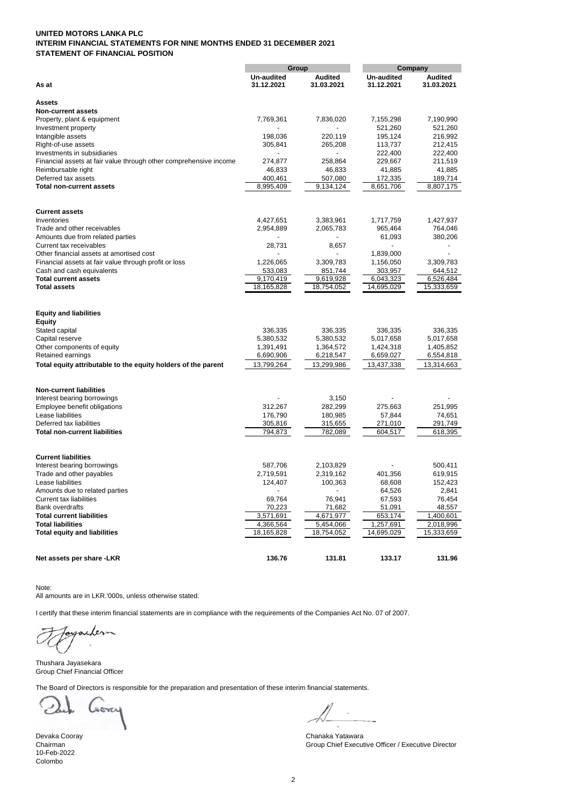# **UNITED MOTORS LANKA PLC INTERIM FINANCIAL STATEMENTS FOR NINE MONTHS ENDED 31 DECEMBER 2021 STATEMENT OF FINANCIAL POSITION**

| Group                                                             |               |                | Company           |                  |  |  |
|-------------------------------------------------------------------|---------------|----------------|-------------------|------------------|--|--|
|                                                                   | Un-audited    | <b>Audited</b> | <b>Un-audited</b> | <b>Audited</b>   |  |  |
| As at                                                             | 31.12.2021    | 31.03.2021     | 31.12.2021        | 31.03.2021       |  |  |
| <b>Assets</b>                                                     |               |                |                   |                  |  |  |
| <b>Non-current assets</b>                                         |               |                |                   |                  |  |  |
| Property, plant & equipment                                       | 7,769,361     | 7,836,020      | 7,155,298         | 7,190,990        |  |  |
| Investment property                                               |               |                | 521,260           | 521,260          |  |  |
| Intangible assets                                                 | 198,036       | 220,119        | 195,124           | 216,992          |  |  |
| Right-of-use assets                                               | 305,841       | 265,208        | 113,737           | 212,415          |  |  |
| Investments in subsidiaries                                       |               |                | 222,400           | 222,400          |  |  |
| Financial assets at fair value through other comprehensive income | 274,877       | 258,864        | 229,667           | 211,519          |  |  |
| Reimbursable right                                                | 46,833        | 46,833         | 41,885            | 41,885           |  |  |
| Deferred tax assets                                               | 400,461       | 507,080        | 172,335           | 189,714          |  |  |
| <b>Total non-current assets</b>                                   | 8,995,409     | 9,134,124      | 8,651,706         | 8,807,175        |  |  |
| <b>Current assets</b>                                             |               |                |                   |                  |  |  |
| Inventories                                                       | 4,427,651     | 3,383,961      | 1,717,759         | 1,427,937        |  |  |
| Trade and other receivables                                       | 2,954,889     | 2,065,783      | 965,464           | 764,046          |  |  |
| Amounts due from related parties                                  |               |                | 61,093            | 380,206          |  |  |
| Current tax receivables                                           | 28,731        | 8,657          |                   |                  |  |  |
| Other financial assets at amortised cost                          |               |                | 1,839,000         |                  |  |  |
| Financial assets at fair value through profit or loss             | 1,226,065     | 3,309,783      | 1,156,050         | 3,309,783        |  |  |
| Cash and cash equivalents                                         | 533,083       | 851,744        | 303,957           | 644,512          |  |  |
| <b>Total current assets</b>                                       | 9,170,419     | 9,619,928      | 6,043,323         | 6,526,484        |  |  |
| <b>Total assets</b>                                               | 18,165,828    | 18,754,052     | 14,695,029        | 15,333,659       |  |  |
| <b>Equity and liabilities</b>                                     |               |                |                   |                  |  |  |
| <b>Equity</b>                                                     |               |                |                   |                  |  |  |
| Stated capital                                                    | 336,335       | 336,335        | 336,335           | 336,335          |  |  |
| Capital reserve                                                   | 5,380,532     | 5,380,532      | 5,017,658         | 5,017,658        |  |  |
| Other components of equity                                        | 1,391,491     | 1,364,572      | 1,424,318         | 1,405,852        |  |  |
| Retained earnings                                                 | 6,690,906     | 6,218,547      | 6,659,027         | 6,554,818        |  |  |
| Total equity attributable to the equity holders of the parent     | 13,799,264    | 13,299,986     | 13,437,338        | 13,314,663       |  |  |
| <b>Non-current liabilities</b>                                    |               |                |                   |                  |  |  |
| Interest bearing borrowings                                       |               | 3,150          |                   |                  |  |  |
| Employee benefit obligations                                      | 312,267       | 282,299        | 275,663           | 251,995          |  |  |
| Lease liabilities                                                 | 176,790       | 180,985        | 57,844            | 74,651           |  |  |
| Deferred tax liabilities                                          | 305,816       | 315,655        | 271,010           | 291,749          |  |  |
| <b>Total non-current liabilities</b>                              | 794,873       | 782,089        | 604,517           | 618,395          |  |  |
|                                                                   |               |                |                   |                  |  |  |
| <b>Current liabilities</b>                                        |               |                |                   |                  |  |  |
| Interest bearing borrowings                                       | 587,706       | 2,103,829      |                   | 500,411          |  |  |
| Trade and other payables                                          | 2,719,591     | 2,319,162      | 401,356           | 619,915          |  |  |
| Lease liabilities<br>Amounts due to related parties               | 124,407<br>÷, | 100,363<br>ä,  | 68,608<br>64,526  | 152,423<br>2,841 |  |  |
| <b>Current tax liabilities</b>                                    | 69,764        | 76,941         | 67,593            | 76,454           |  |  |
| <b>Bank overdrafts</b>                                            | 70,223        | 71,682         | 51,091            | 48,557           |  |  |
| <b>Total current liabilities</b>                                  | 3,571,691     | 4,671,977      | 653,174           | 1,400,601        |  |  |
| <b>Total liabilities</b>                                          | 4,366,564     | 5,454,066      | 1,257,691         | 2,018,996        |  |  |
| <b>Total equity and liabilities</b>                               | 18,165,828    | 18,754,052     | 14,695,029        | 15,333,659       |  |  |
|                                                                   |               |                |                   |                  |  |  |
| Net assets per share -LKR                                         | 136.76        | 131.81         | 133.17            | 131.96           |  |  |

Note:

All amounts are in LKR.'000s, unless otherwise stated.

I certify that these interim financial statements are in compliance with the requirements of the Companies Act No. 07 of 2007.

Layacher

Thushara Jayasekara Group Chief Financial Officer

The Board of Directors is responsible for the preparation and presentation of these interim financial statements.

son

10-Feb-2022 Colombo

Devaka Cooray Chanaka Yatawara Group Chief Executive Officer / Executive Director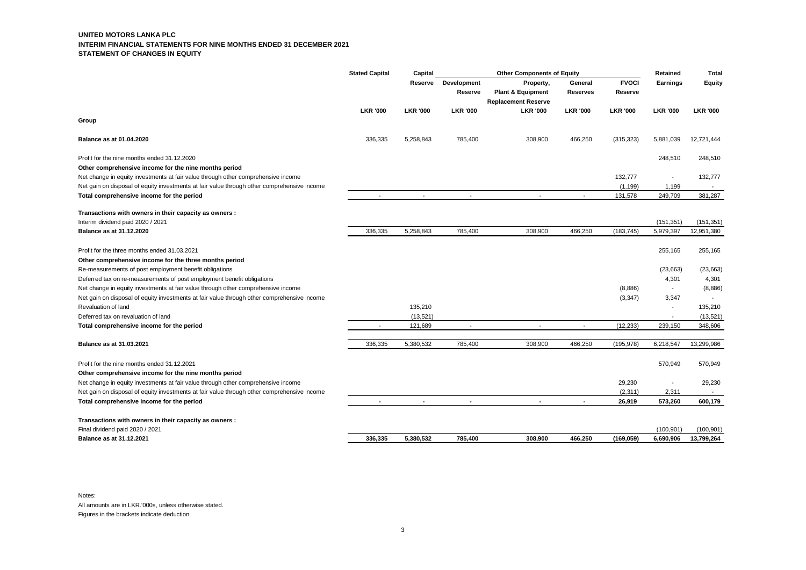#### **UNITED MOTORS LANKA PLC INTERIM FINANCIAL STATEMENTS FOR NINE MONTHS ENDED 31 DECEMBER 2021 STATEMENT OF CHANGES IN EQUITY**

|                                                                                                                                                                                  | <b>Stated Capital</b> | Capital         | <b>Other Components of Equity</b> |                              |                          | Retained            | <b>Total</b>                      |                          |
|----------------------------------------------------------------------------------------------------------------------------------------------------------------------------------|-----------------------|-----------------|-----------------------------------|------------------------------|--------------------------|---------------------|-----------------------------------|--------------------------|
|                                                                                                                                                                                  |                       | Reserve         | Development                       | Property,                    | General                  | <b>FVOCI</b>        | <b>Earnings</b>                   | Equity                   |
|                                                                                                                                                                                  |                       |                 | Reserve                           | <b>Plant &amp; Equipment</b> | <b>Reserves</b>          | Reserve             |                                   |                          |
|                                                                                                                                                                                  |                       |                 |                                   | <b>Replacement Reserve</b>   |                          |                     |                                   |                          |
|                                                                                                                                                                                  | <b>LKR '000</b>       | <b>LKR '000</b> | <b>LKR '000</b>                   | <b>LKR '000</b>              | <b>LKR '000</b>          | <b>LKR '000</b>     | <b>LKR '000</b>                   | <b>LKR '000</b>          |
| Group                                                                                                                                                                            |                       |                 |                                   |                              |                          |                     |                                   |                          |
| <b>Balance as at 01.04.2020</b>                                                                                                                                                  | 336,335               | 5,258,843       | 785,400                           | 308,900                      | 466,250                  | (315, 323)          | 5,881,039                         | 12,721,444               |
| Profit for the nine months ended 31.12.2020<br>Other comprehensive income for the nine months period                                                                             |                       |                 |                                   |                              |                          |                     | 248,510                           | 248,510                  |
| Net change in equity investments at fair value through other comprehensive income<br>Net gain on disposal of equity investments at fair value through other comprehensive income |                       |                 |                                   |                              |                          | 132,777<br>(1, 199) | $\overline{\phantom{a}}$<br>1,199 | 132,777                  |
| Total comprehensive income for the period                                                                                                                                        |                       |                 | $\tilde{\phantom{a}}$             | $\blacksquare$               | $\overline{\phantom{a}}$ | 131,578             | 249,709                           | 381,287                  |
| Transactions with owners in their capacity as owners :                                                                                                                           |                       |                 |                                   |                              |                          |                     |                                   |                          |
| Interim dividend paid 2020 / 2021<br>Balance as at 31.12.2020                                                                                                                    | 336,335               | 5,258,843       | 785,400                           | 308,900                      | 466,250                  | (183, 745)          | (151, 351)<br>5,979,397           | (151, 351)<br>12,951,380 |
|                                                                                                                                                                                  |                       |                 |                                   |                              |                          |                     |                                   |                          |
| Profit for the three months ended 31.03.2021                                                                                                                                     |                       |                 |                                   |                              |                          |                     | 255,165                           | 255,165                  |
| Other comprehensive income for the three months period                                                                                                                           |                       |                 |                                   |                              |                          |                     |                                   |                          |
| Re-measurements of post employment benefit obligations                                                                                                                           |                       |                 |                                   |                              |                          |                     | (23, 663)                         | (23, 663)                |
| Deferred tax on re-measurements of post employment benefit obligations                                                                                                           |                       |                 |                                   |                              |                          |                     | 4,301                             | 4,301                    |
| Net change in equity investments at fair value through other comprehensive income                                                                                                |                       |                 |                                   |                              |                          | (8,886)             | $\sim$                            | (8,886)                  |
| Net gain on disposal of equity investments at fair value through other comprehensive income                                                                                      |                       |                 |                                   |                              |                          | (3, 347)            | 3,347                             |                          |
| Revaluation of land                                                                                                                                                              |                       | 135,210         |                                   |                              |                          |                     | $\overline{a}$                    | 135,210                  |
| Deferred tax on revaluation of land                                                                                                                                              |                       | (13,521)        |                                   |                              |                          |                     |                                   | (13, 521)                |
| Total comprehensive income for the period                                                                                                                                        |                       | 121,689         |                                   |                              |                          | (12, 233)           | 239,150                           | 348,606                  |
| Balance as at 31.03.2021                                                                                                                                                         | 336,335               | 5,380,532       | 785,400                           | 308,900                      | 466,250                  | (195, 978)          | 6,218,547                         | 13,299,986               |
| Profit for the nine months ended 31.12.2021<br>Other comprehensive income for the nine months period                                                                             |                       |                 |                                   |                              |                          |                     | 570,949                           | 570,949                  |
| Net change in equity investments at fair value through other comprehensive income                                                                                                |                       |                 |                                   |                              |                          | 29,230              | ÷,                                | 29,230                   |
| Net gain on disposal of equity investments at fair value through other comprehensive income                                                                                      |                       |                 |                                   |                              |                          | (2,311)             | 2,311                             |                          |
| Total comprehensive income for the period                                                                                                                                        |                       |                 | $\blacksquare$                    | $\blacksquare$               | $\blacksquare$           | 26,919              | 573,260                           | 600,179                  |
|                                                                                                                                                                                  |                       |                 |                                   |                              |                          |                     |                                   |                          |
| Transactions with owners in their capacity as owners :                                                                                                                           |                       |                 |                                   |                              |                          |                     |                                   |                          |
| Final dividend paid 2020 / 2021                                                                                                                                                  |                       |                 |                                   |                              |                          |                     | (100, 901)                        | (100, 901)               |
| <b>Balance as at 31.12.2021</b>                                                                                                                                                  | 336,335               | 5,380,532       | 785,400                           | 308,900                      | 466,250                  | (169, 059)          | 6,690,906                         | 13,799,264               |

Notes: All amounts are in LKR.'000s, unless otherwise stated. Figures in the brackets indicate deduction.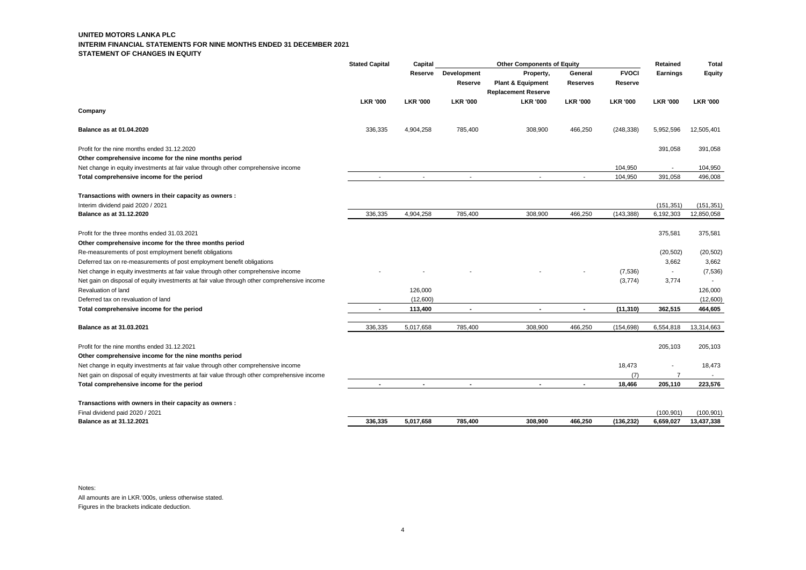#### **UNITED MOTORS LANKA PLC INTERIM FINANCIAL STATEMENTS FOR NINE MONTHS ENDED 31 DECEMBER 2021 STATEMENT OF CHANGES IN EQUITY**

|                                                                                             | <b>Stated Capital</b><br>Capital<br><b>Other Components of Equity</b> |                          |                          | Retained                                                                | <b>Total</b>               |                         |                 |                 |
|---------------------------------------------------------------------------------------------|-----------------------------------------------------------------------|--------------------------|--------------------------|-------------------------------------------------------------------------|----------------------------|-------------------------|-----------------|-----------------|
|                                                                                             |                                                                       | Reserve                  | Development<br>Reserve   | Property,<br><b>Plant &amp; Equipment</b><br><b>Replacement Reserve</b> | General<br><b>Reserves</b> | <b>FVOCI</b><br>Reserve | Earnings        | Equity          |
|                                                                                             | <b>LKR '000</b>                                                       | <b>LKR '000</b>          | <b>LKR '000</b>          | <b>LKR '000</b>                                                         | <b>LKR '000</b>            | <b>LKR '000</b>         | <b>LKR '000</b> | <b>LKR '000</b> |
| Company                                                                                     |                                                                       |                          |                          |                                                                         |                            |                         |                 |                 |
| Balance as at 01.04.2020                                                                    | 336,335                                                               | 4,904,258                | 785,400                  | 308,900                                                                 | 466,250                    | (248, 338)              | 5,952,596       | 12,505,401      |
| Profit for the nine months ended 31.12.2020                                                 |                                                                       |                          |                          |                                                                         |                            |                         | 391,058         | 391,058         |
| Other comprehensive income for the nine months period                                       |                                                                       |                          |                          |                                                                         |                            |                         |                 |                 |
| Net change in equity investments at fair value through other comprehensive income           |                                                                       |                          |                          |                                                                         |                            | 104,950                 |                 | 104,950         |
| Total comprehensive income for the period                                                   |                                                                       |                          | $\overline{\phantom{a}}$ | $\sim$                                                                  |                            | 104,950                 | 391,058         | 496,008         |
| Transactions with owners in their capacity as owners :                                      |                                                                       |                          |                          |                                                                         |                            |                         |                 |                 |
| Interim dividend paid 2020 / 2021                                                           |                                                                       |                          |                          |                                                                         |                            |                         | (151, 351)      | (151, 351)      |
| <b>Balance as at 31.12.2020</b>                                                             | 336,335                                                               | 4,904,258                | 785,400                  | 308,900                                                                 | 466,250                    | (143, 388)              | 6,192,303       | 12,850,058      |
| Profit for the three months ended 31.03.2021                                                |                                                                       |                          |                          |                                                                         |                            |                         | 375,581         | 375,581         |
| Other comprehensive income for the three months period                                      |                                                                       |                          |                          |                                                                         |                            |                         |                 |                 |
| Re-measurements of post employment benefit obligations                                      |                                                                       |                          |                          |                                                                         |                            |                         | (20, 502)       | (20, 502)       |
| Deferred tax on re-measurements of post employment benefit obligations                      |                                                                       |                          |                          |                                                                         |                            |                         | 3,662           | 3,662           |
| Net change in equity investments at fair value through other comprehensive income           |                                                                       |                          |                          |                                                                         |                            | (7,536)                 |                 | (7, 536)        |
| Net gain on disposal of equity investments at fair value through other comprehensive income |                                                                       |                          |                          |                                                                         |                            | (3,774)                 | 3,774           |                 |
| Revaluation of land                                                                         |                                                                       | 126,000                  |                          |                                                                         |                            |                         |                 | 126,000         |
| Deferred tax on revaluation of land                                                         |                                                                       | (12,600)                 |                          |                                                                         |                            |                         |                 | (12,600)        |
| Total comprehensive income for the period                                                   |                                                                       | 113,400                  |                          |                                                                         | $\blacksquare$             | (11, 310)               | 362,515         | 464,605         |
| Balance as at 31.03.2021                                                                    | 336,335                                                               | 5,017,658                | 785,400                  | 308,900                                                                 | 466,250                    | (154, 698)              | 6,554,818       | 13,314,663      |
| Profit for the nine months ended 31.12.2021                                                 |                                                                       |                          |                          |                                                                         |                            |                         | 205,103         | 205,103         |
| Other comprehensive income for the nine months period                                       |                                                                       |                          |                          |                                                                         |                            |                         |                 |                 |
| Net change in equity investments at fair value through other comprehensive income           |                                                                       |                          |                          |                                                                         |                            | 18,473                  |                 | 18,473          |
| Net gain on disposal of equity investments at fair value through other comprehensive income |                                                                       |                          |                          |                                                                         |                            | (7)                     | $\overline{7}$  | $\sim$          |
| Total comprehensive income for the period                                                   | $\overline{\phantom{a}}$                                              | $\overline{\phantom{a}}$ | $\overline{\phantom{a}}$ | $\overline{\phantom{a}}$                                                | $\blacksquare$             | 18,466                  | 205,110         | 223,576         |
| Transactions with owners in their capacity as owners :                                      |                                                                       |                          |                          |                                                                         |                            |                         |                 |                 |
| Final dividend paid 2020 / 2021                                                             |                                                                       |                          |                          |                                                                         |                            |                         | (100, 901)      | (100, 901)      |
| <b>Balance as at 31.12.2021</b>                                                             | 336.335                                                               | 5.017.658                | 785.400                  | 308.900                                                                 | 466.250                    | (136, 232)              | 6,659,027       | 13,437,338      |

Notes: All amounts are in LKR.'000s, unless otherwise stated. Figures in the brackets indicate deduction.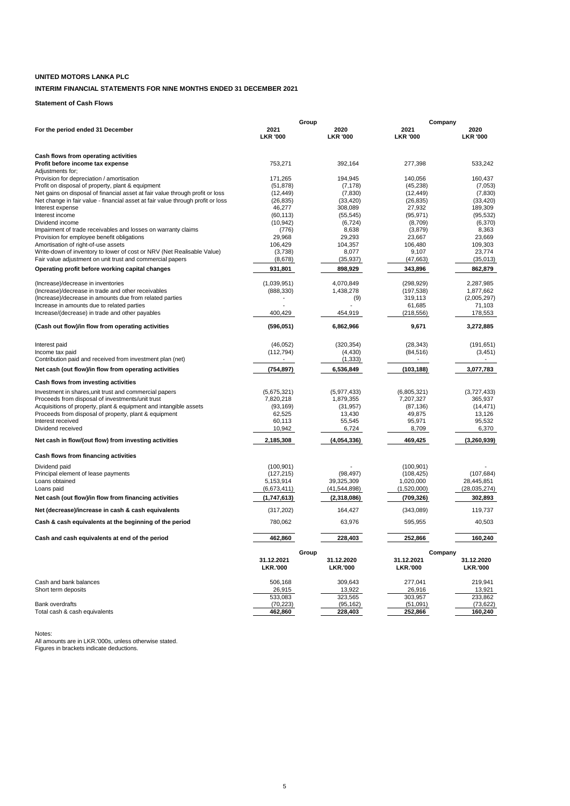# **UNITED MOTORS LANKA PLC**

# **INTERIM FINANCIAL STATEMENTS FOR NINE MONTHS ENDED 31 DECEMBER 2021**

**Statement of Cash Flows**

|                                                                                              | Group                   |       | Company                 |                         |                         |  |
|----------------------------------------------------------------------------------------------|-------------------------|-------|-------------------------|-------------------------|-------------------------|--|
| For the period ended 31 December                                                             | 2021<br><b>LKR '000</b> |       | 2020<br><b>LKR '000</b> | 2021<br><b>LKR '000</b> | 2020<br><b>LKR '000</b> |  |
|                                                                                              |                         |       |                         |                         |                         |  |
| Cash flows from operating activities<br>Profit before income tax expense<br>Adjustments for: | 753,271                 |       | 392,164                 | 277,398                 | 533,242                 |  |
| Provision for depreciation / amortisation                                                    | 171,265                 |       | 194,945                 | 140,056                 | 160,437                 |  |
| Profit on disposal of property, plant & equipment                                            | (51, 878)               |       | (7, 178)                | (45, 238)               | (7,053)                 |  |
| Net gains on disposal of financial asset at fair value through profit or loss                | (12, 449)               |       | (7, 830)                | (12, 449)               | (7, 830)                |  |
| Net change in fair value - financial asset at fair value through profit or loss              | (26, 835)               |       | (33, 420)               | (26, 835)               | (33, 420)               |  |
| Interest expense                                                                             | 46,277                  |       | 308,089                 | 27,932                  | 189,309                 |  |
| Interest income                                                                              | (60, 113)               |       | (55, 545)               | (95, 971)               | (95, 532)               |  |
| Dividend income                                                                              | (10, 942)               |       | (6, 724)                | (8,709)                 | (6,370)                 |  |
| Impairment of trade receivables and losses on warranty claims                                | (776)                   |       | 8,638                   | (3,879)                 | 8,363                   |  |
| Provision for employee benefit obligations                                                   | 29,968                  |       | 29,293                  | 23,667                  | 23,669                  |  |
| Amortisation of right-of-use assets                                                          | 106,429                 |       | 104,357                 | 106,480                 | 109,303                 |  |
| Write-down of inventory to lower of cost or NRV (Net Realisable Value)                       | (3,738)                 |       | 8,077                   | 9,107                   | 23,774                  |  |
| Fair value adjustment on unit trust and commercial papers                                    | (8,678)                 |       | (35, 937)               | (47, 663)               | (35,013)                |  |
| Operating profit before working capital changes                                              | 931,801                 |       | 898,929                 | 343,896                 | 862,879                 |  |
| (Increase)/decrease in inventories                                                           | (1,039,951)             |       | 4,070,849               | (298, 929)              | 2,287,985               |  |
| (Increase)/decrease in trade and other receivables                                           | (888, 330)              |       | 1,438,278               | (197, 538)              | 1,877,662               |  |
| (Increase)/decrease in amounts due from related parties                                      |                         |       | (9)                     | 319,113                 | (2,005,297)             |  |
| Increase in amounts due to related parties                                                   |                         |       |                         | 61,685                  | 71,103                  |  |
| Increase/(decrease) in trade and other payables                                              | 400,429                 |       | 454,919                 | (218, 556)              | 178,553                 |  |
| (Cash out flow)/in flow from operating activities                                            | (596, 051)              |       | 6,862,966               | 9,671                   | 3,272,885               |  |
| Interest paid                                                                                | (46, 052)               |       | (320, 354)              | (28, 343)               | (191, 651)              |  |
| Income tax paid                                                                              | (112, 794)              |       | (4, 430)                | (84, 516)               | (3, 451)                |  |
| Contribution paid and received from investment plan (net)                                    |                         |       | (1, 333)                |                         |                         |  |
| Net cash (out flow)/in flow from operating activities                                        | (754, 897)              |       | 6,536,849               | (103, 188)              | 3,077,783               |  |
| Cash flows from investing activities                                                         |                         |       |                         |                         |                         |  |
| Investment in shares, unit trust and commercial papers                                       | (5,675,321)             |       | (5,977,433)             | (6,805,321)             | (3,727,433)             |  |
| Proceeds from disposal of investments/unit trust                                             | 7,820,218               |       | 1,879,355               | 7,207,327               | 365,937                 |  |
| Acquisitions of property, plant & equipment and intangible assets                            | (93, 169)               |       | (31, 957)               | (87, 136)               | (14, 471)               |  |
| Proceeds from disposal of property, plant & equipment                                        | 62,525                  |       | 13,430                  | 49,875                  | 13,126                  |  |
| Interest received                                                                            | 60,113                  |       | 55,545                  | 95,971                  | 95,532                  |  |
| Dividend received                                                                            | 10,942                  |       | 6,724                   | 8,709                   | 6,370                   |  |
| Net cash in flow/(out flow) from investing activities                                        | 2,185,308               |       | (4,054,336)             | 469,425                 | (3,260,939)             |  |
| Cash flows from financing activities                                                         |                         |       |                         |                         |                         |  |
| Dividend paid                                                                                | (100, 901)              |       |                         | (100, 901)              |                         |  |
| Principal element of lease payments                                                          | (127, 215)              |       | (98, 497)               | (108, 425)              | (107, 684)              |  |
| Loans obtained                                                                               | 5,153,914               |       | 39,325,309              | 1,020,000               | 28,445,851              |  |
| Loans paid                                                                                   | (6,673,411)             |       | (41,544,898)            | (1,520,000)             | (28, 035, 274)          |  |
| Net cash (out flow)/in flow from financing activities                                        | (1,747,613)             |       | (2,318,086)             | (709, 326)              | 302,893                 |  |
| Net (decrease)/increase in cash & cash equivalents                                           | (317, 202)              |       | 164,427                 | (343,089)               | 119,737                 |  |
| Cash & cash equivalents at the beginning of the period                                       | 780,062                 |       | 63,976                  | 595,955                 | 40,503                  |  |
|                                                                                              |                         |       |                         |                         |                         |  |
| Cash and cash equivalents at end of the period                                               | 462,860                 |       | 228,403                 | 252,866                 | 160,240                 |  |
|                                                                                              |                         | Group |                         | Company                 |                         |  |
|                                                                                              | 31.12.2021              |       | 31.12.2020              | 31.12.2021              | 31.12.2020              |  |
|                                                                                              | <b>LKR.'000</b>         |       | <b>LKR.'000</b>         | <b>LKR.'000</b>         | <b>LKR.'000</b>         |  |
| Cash and bank balances                                                                       | 506,168                 |       | 309,643                 | 277,041                 | 219,941                 |  |
| Short term deposits                                                                          | 26,915                  |       | 13,922                  | 26,916                  | 13,921                  |  |
|                                                                                              | 533,083                 |       | 323,565                 | 303,957                 | 233,862                 |  |
| <b>Bank overdrafts</b>                                                                       | (70, 223)               |       | (95, 162)               | (51,091)                | (73, 622)               |  |
| Total cash & cash equivalents                                                                | 462,860                 |       | 228.403                 | 252,866                 | 160,240                 |  |

Notes: All amounts are in LKR.'000s, unless otherwise stated. Figures in brackets indicate deductions.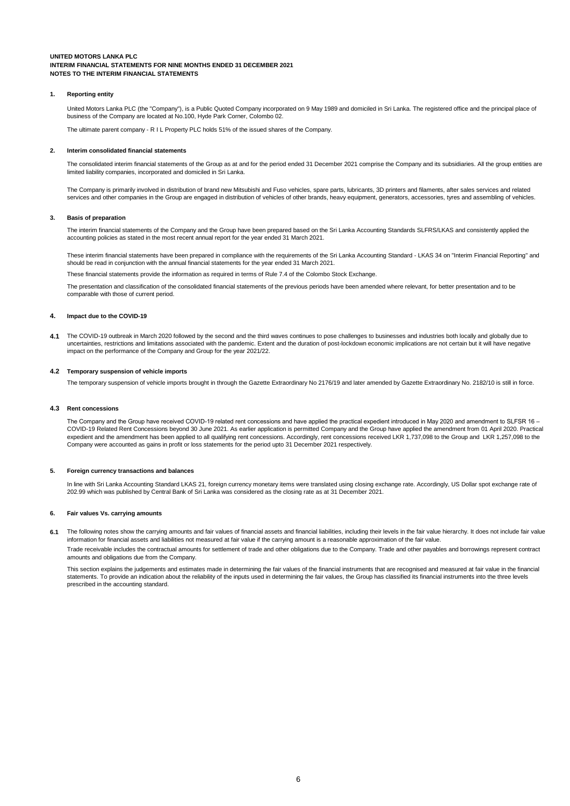#### **1. Reporting entity**

United Motors Lanka PLC (the "Company"), is a Public Quoted Company incorporated on 9 May 1989 and domiciled in Sri Lanka. The registered office and the principal place of<br>business of the Company are located at No.100, Hyd

The ultimate parent company - R I L Property PLC holds 51% of the issued shares of the Company.

#### **2. Interim consolidated financial statements**

The consolidated interim financial statements of the Group as at and for the period ended 31 December 2021 comprise the Company and its subsidiaries. All the group entities are limited liability companies, incorporated and domiciled in Sri Lanka.

The Company is primarily involved in distribution of brand new Mitsubishi and Fuso vehicles, spare parts, lubricants, 3D printers and filaments, after sales services and related services and other companies in the Group are engaged in distribution of vehicles of other brands, heavy equipment, generators, accessories, tyres and assembling of vehicles.

#### **3. Basis of preparation**

The interim financial statements of the Company and the Group have been prepared based on the Sri Lanka Accounting Standards SLFRS/LKAS and consistently applied the accounting policies as stated in the most recent annual report for the year ended 31 March 2021.

These interim financial statements have been prepared in compliance with the requirements of the Sri Lanka Accounting Standard - LKAS 34 on "Interim Financial Reporting" and should be read in conjunction with the annual financial statements for the year ended 31 March 2021.

e financial statements provide the information as required in terms of Rule 7.4 of the Colombo Stock Exchange.

The presentation and classification of the consolidated financial statements of the previous periods have been amended where relevant, for better presentation and to be comparable with those of current period.

#### **4. Impact due to the COVID-19**

4.1 The COVID-19 outbreak in March 2020 followed by the second and the third waves continues to pose challenges to businesses and industries both locally and globally due to uncertainties, restrictions and limitations associated with the pandemic. Extent and the duration of post-lockdown economic implications are not certain but it will have negative impact on the performance of the Company and Group for the year 2021/22.

#### **4.2 Temporary suspension of vehicle imports**

The temporary suspension of vehicle imports brought in through the Gazette Extraordinary No 2176/19 and later amended by Gazette Extraordinary No. 2182/10 is still in force.

### **4.3 Rent concessions**

The Company and the Group have received COVID-19 related rent concessions and have applied the practical expedient introduced in May 2020 and amendment to SLFSR 16 – COVID-19 Related Rent Concessions beyond 30 June 2021. As earlier application is permitted Company and the Group have applied the amendment from 01 April 2020. Practical expedient and the amendment has been applied to all qualifying rent concessions. Accordingly, rent concessions received LKR 1,737,098 to the Group and LKR 1,257,098 to the Company were accounted as gains in profit or loss statements for the period upto 31 December 2021 respectively.

#### **5. Foreign currency transactions and balances**

In line with Sri Lanka Accounting Standard LKAS 21, foreign currency monetary items were translated using closing exchange rate. Accordingly, US Dollar spot exchange rate of 202.99 which was published by Central Bank of Sri Lanka was considered as the closing rate as at 31 December 2021.

#### **6. Fair values Vs. carrying amounts**

6.1 The following notes show the carrying amounts and fair values of financial assets and financial liabilities, including their levels in the fair value hierarchy. It does not include fair value information for financial assets and liabilities not measured at fair value if the carrying amount is a reasonable approximation of the fair value.

Trade receivable includes the contractual amounts for settlement of trade and other obligations due to the Company. Trade and other payables and borrowings represent contract amounts and obligations due from the Company.

This section explains the judgements and estimates made in determining the fair values of the financial instruments that are recognised and measured at fair value in the financial statements. To provide an indication about the reliability of the inputs used in determining the fair values, the Group has classified its financial instruments into the three levels prescribed in the accounting standard.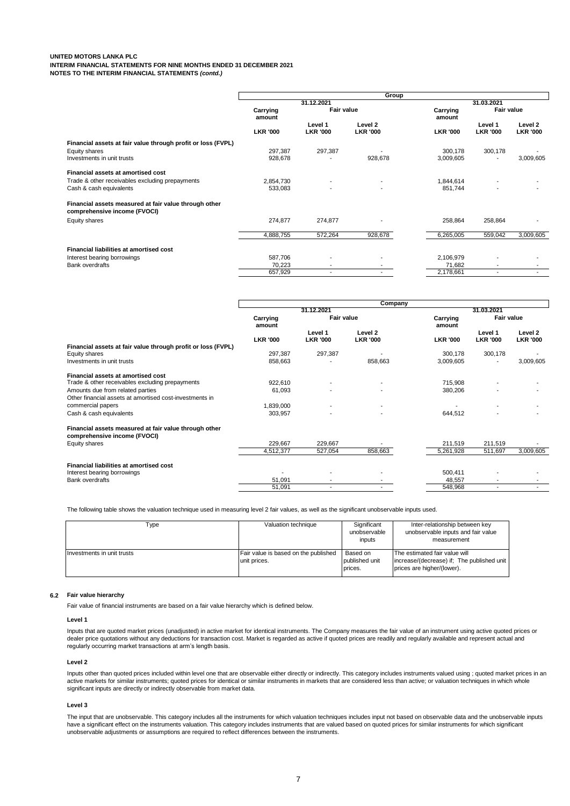|                                                                                       |                    | 31.12.2021                 |                            |                    |                            |                            |  |
|---------------------------------------------------------------------------------------|--------------------|----------------------------|----------------------------|--------------------|----------------------------|----------------------------|--|
|                                                                                       |                    |                            |                            |                    | 31.03.2021                 |                            |  |
|                                                                                       | Carrying<br>amount | Fair value                 |                            | Carrying<br>amount | Fair value                 |                            |  |
|                                                                                       | <b>LKR '000</b>    | Level 1<br><b>LKR '000</b> | Level 2<br><b>LKR '000</b> | <b>LKR '000</b>    | Level 1<br><b>LKR '000</b> | Level 2<br><b>LKR '000</b> |  |
| Financial assets at fair value through profit or loss (FVPL)                          |                    |                            |                            |                    |                            |                            |  |
| Equity shares                                                                         | 297.387            | 297,387                    |                            | 300,178            | 300,178                    |                            |  |
| Investments in unit trusts                                                            | 928,678            |                            | 928,678                    | 3,009,605          |                            | 3,009,605                  |  |
| Financial assets at amortised cost                                                    |                    |                            |                            |                    |                            |                            |  |
| Trade & other receivables excluding prepayments                                       | 2,854,730          |                            |                            | 1.844.614          |                            |                            |  |
| Cash & cash equivalents                                                               | 533,083            |                            |                            | 851,744            |                            |                            |  |
| Financial assets measured at fair value through other<br>comprehensive income (FVOCI) |                    |                            |                            |                    |                            |                            |  |
| Equity shares                                                                         | 274,877            | 274,877                    |                            | 258,864            | 258,864                    |                            |  |
|                                                                                       | 4,888,755          | 572,264                    | 928,678                    | 6,265,005          | 559,042                    | 3.009.605                  |  |
| Financial liabilities at amortised cost                                               |                    |                            |                            |                    |                            |                            |  |
| Interest bearing borrowings                                                           | 587,706            | $\overline{\phantom{a}}$   |                            | 2,106,979          |                            |                            |  |
| <b>Bank overdrafts</b>                                                                | 70,223             | $\overline{\phantom{a}}$   |                            | 71,682             |                            |                            |  |
|                                                                                       | 657,929            | $\overline{\phantom{a}}$   |                            | 2,178,661          | $\overline{\phantom{a}}$   | $\overline{\phantom{a}}$   |  |

|                                                                                       | Company            |                            |                            |                    |                            |                            |  |
|---------------------------------------------------------------------------------------|--------------------|----------------------------|----------------------------|--------------------|----------------------------|----------------------------|--|
|                                                                                       |                    | 31.12.2021                 |                            |                    | 31.03.2021                 |                            |  |
|                                                                                       | Carrying<br>amount | <b>Fair value</b>          |                            | Carrying<br>amount | Fair value                 |                            |  |
|                                                                                       | <b>LKR '000</b>    | Level 1<br><b>LKR '000</b> | Level 2<br><b>LKR '000</b> | <b>LKR '000</b>    | Level 1<br><b>LKR '000</b> | Level 2<br><b>LKR '000</b> |  |
| Financial assets at fair value through profit or loss (FVPL)                          |                    |                            |                            |                    |                            |                            |  |
| Equity shares                                                                         | 297,387            | 297,387                    |                            | 300,178            | 300,178                    |                            |  |
| Investments in unit trusts                                                            | 858,663            |                            | 858,663                    | 3,009,605          | $\overline{\phantom{a}}$   | 3,009,605                  |  |
| Financial assets at amortised cost                                                    |                    |                            |                            |                    |                            |                            |  |
| Trade & other receivables excluding prepayments                                       | 922,610            |                            |                            | 715,908            |                            |                            |  |
| Amounts due from related parties                                                      | 61,093             |                            |                            | 380,206            |                            |                            |  |
| Other financial assets at amortised cost-investments in                               |                    |                            |                            |                    |                            |                            |  |
| commercial papers                                                                     | 1,839,000          |                            |                            |                    |                            |                            |  |
| Cash & cash equivalents                                                               | 303,957            |                            |                            | 644,512            |                            |                            |  |
| Financial assets measured at fair value through other<br>comprehensive income (FVOCI) |                    |                            |                            |                    |                            |                            |  |
| Equity shares                                                                         | 229,667            | 229,667                    |                            | 211,519            | 211,519                    |                            |  |
|                                                                                       | 4,512,377          | 527,054                    | 858,663                    | 5,261,928          | 511,697                    | 3,009,605                  |  |
| Financial liabilities at amortised cost                                               |                    |                            |                            |                    |                            |                            |  |
| Interest bearing borrowings                                                           |                    |                            |                            | 500,411            |                            |                            |  |
| <b>Bank overdrafts</b>                                                                | 51,091             | ٠                          |                            | 48,557             | $\blacksquare$             |                            |  |
|                                                                                       | 51,091             |                            |                            | 548,968            | $\overline{\phantom{a}}$   |                            |  |

The following table shows the valuation technique used in measuring level 2 fair values, as well as the significant unobservable inputs used.

| Type                       | Valuation technique                                  | Significant<br>unobservable<br>inputs | Inter-relationship between key<br>unobservable inputs and fair value<br>measurement                       |
|----------------------------|------------------------------------------------------|---------------------------------------|-----------------------------------------------------------------------------------------------------------|
| Investments in unit trusts | Fair value is based on the published<br>unit prices. | Based on<br>published unit<br>prices. | The estimated fair value will<br>increase/(decrease) if: The published unit<br>prices are higher/(lower). |

### **6.2 Fair value hierarchy**

Fair value of financial instruments are based on a fair value hierarchy which is defined below.

#### **Level 1**

Inputs that are quoted market prices (unadjusted) in active market for identical instruments. The Company measures the fair value of an instrument using active quoted prices or dealer price quotations without any deductions for transaction cost. Market is regarded as active if quoted prices are readily and regularly available and represent actual and regularly occurring market transactions at arm's length basis.

#### **Level 2**

Inputs other than quoted prices included within level one that are observable either directly or indirectly. This category includes instruments valued using ; quoted market prices in an active markets for similar instruments; quoted prices for identical or similar instruments in markets that are considered less than active; or valuation techniques in which whole significant inputs are directly or indirectly observable from market data.

#### **Level 3**

The input that are unobservable. This category includes all the instruments for which valuation techniques includes input not based on observable data and the unobservable inputs have a significant effect on the instruments valuation. This category includes instruments that are valued based on quoted prices for similar instruments for which significant<br>unobservable adjustments or assumptions are re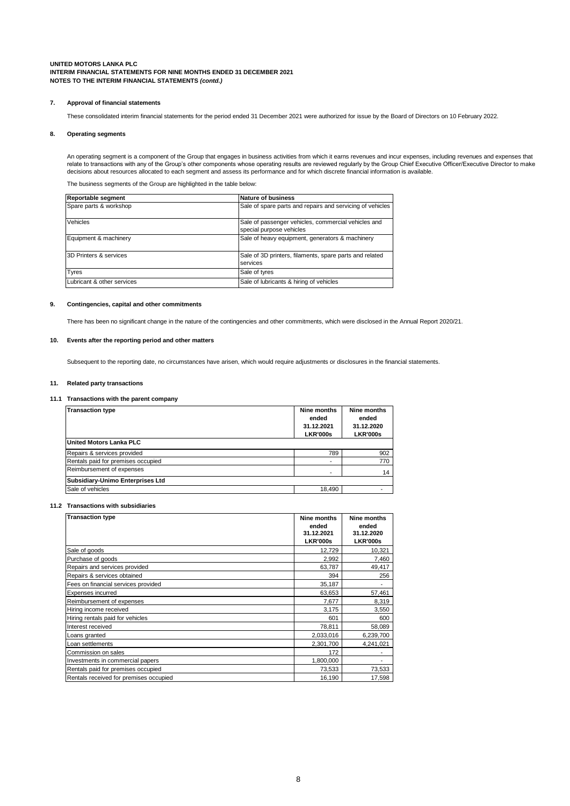#### **7. Approval of financial statements**

These consolidated interim financial statements for the period ended 31 December 2021 were authorized for issue by the Board of Directors on 10 February 2022.

#### **8. Operating segments**

An operating segment is a component of the Group that engages in business activities from which it earns revenues and incur expenses, including revenues and expenses that relate to transactions with any of the Group's other components whose operating results are reviewed regularly by the Group Chief Executive Officer/Executive Director to make decisions about resources allocated to each segment and assess its performance and for which discrete financial information is available.

The business segments of the Group are highlighted in the table below:

| Reportable segment         | Nature of business                                                              |
|----------------------------|---------------------------------------------------------------------------------|
| Spare parts & workshop     | Sale of spare parts and repairs and servicing of vehicles                       |
| Vehicles                   | Sale of passenger vehicles, commercial vehicles and<br>special purpose vehicles |
| Equipment & machinery      | Sale of heavy equipment, generators & machinery                                 |
| 3D Printers & services     | Sale of 3D printers, filaments, spare parts and related<br>services             |
| <b>Tyres</b>               | Sale of tyres                                                                   |
| Lubricant & other services | Sale of lubricants & hiring of vehicles                                         |

#### **9. Contingencies, capital and other commitments**

There has been no significant change in the nature of the contingencies and other commitments, which were disclosed in the Annual Report 2020/21.

### **10. Events after the reporting period and other matters**

Subsequent to the reporting date, no circumstances have arisen, which would require adjustments or disclosures in the financial statements.

#### **11. Related party transactions**

#### **11.1 Transactions with the parent company**

| <b>Transaction type</b>            | Nine months<br>ended<br>31.12.2021<br><b>LKR'000s</b> | Nine months<br>ended<br>31.12.2020<br><b>LKR'000s</b> |
|------------------------------------|-------------------------------------------------------|-------------------------------------------------------|
| <b>United Motors Lanka PLC</b>     |                                                       |                                                       |
| Repairs & services provided        | 789                                                   | 902                                                   |
| Rentals paid for premises occupied |                                                       | 770                                                   |
| Reimbursement of expenses          |                                                       | 14                                                    |
| Subsidiary-Unimo Enterprises Ltd   |                                                       |                                                       |
| Sale of vehicles                   | 18.490                                                |                                                       |

#### **11.2 Transactions with subsidiaries**

| <b>Transaction type</b>                | Nine months<br>ended<br>31.12.2021<br><b>LKR'000s</b> | Nine months<br>ended<br>31.12.2020<br><b>LKR'000s</b> |
|----------------------------------------|-------------------------------------------------------|-------------------------------------------------------|
| Sale of goods                          | 12,729                                                | 10,321                                                |
| Purchase of goods                      | 2.992                                                 | 7,460                                                 |
| Repairs and services provided          | 63,787                                                | 49,417                                                |
| Repairs & services obtained            | 394                                                   | 256                                                   |
| Fees on financial services provided    | 35,187                                                |                                                       |
| Expenses incurred                      | 63,653                                                | 57,461                                                |
| Reimbursement of expenses              | 7,677                                                 | 8,319                                                 |
| Hiring income received                 | 3,175                                                 | 3,550                                                 |
| Hiring rentals paid for vehicles       | 601                                                   | 600                                                   |
| Interest received                      | 78,811                                                | 58,089                                                |
| Loans granted                          | 2,033,016                                             | 6,239,700                                             |
| Loan settlements                       | 2,301,700                                             | 4,241,021                                             |
| Commission on sales                    | 172                                                   |                                                       |
| Investments in commercial papers       | 1,800,000                                             |                                                       |
| Rentals paid for premises occupied     | 73,533                                                | 73,533                                                |
| Rentals received for premises occupied | 16,190                                                | 17,598                                                |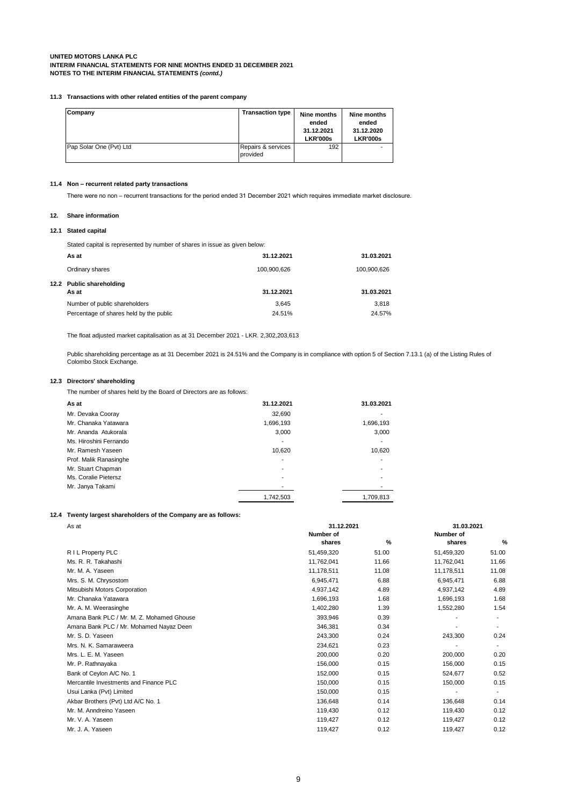#### **11.3 Transactions with other related entities of the parent company**

| Company                 | <b>Transaction type</b>        | Nine months<br>ended<br>31.12.2021<br><b>LKR'000s</b> | Nine months<br>ended<br>31.12.2020<br><b>LKR'000s</b> |
|-------------------------|--------------------------------|-------------------------------------------------------|-------------------------------------------------------|
| Pap Solar One (Pvt) Ltd | Repairs & services<br>provided | 192                                                   |                                                       |

# **11.4 Non – recurrent related party transactions**

There were no non – recurrent transactions for the period ended 31 December 2021 which requires immediate market disclosure.

# **12. Share information**

#### **12.1 Stated capital**

Stated capital is represented by number of shares in issue as given below:

| As at                                   | 31.12.2021  | 31.03.2021  |
|-----------------------------------------|-------------|-------------|
| Ordinary shares                         | 100,900,626 | 100,900,626 |
| 12.2 Public shareholding<br>As at       | 31.12.2021  | 31.03.2021  |
| Number of public shareholders           | 3.645       | 3.818       |
| Percentage of shares held by the public | 24.51%      | 24.57%      |

The float adjusted market capitalisation as at 31 December 2021 - LKR. 2,302,203,613

Public shareholding percentage as at 31 December 2021 is 24.51% and the Company is in compliance with option 5 of Section 7.13.1 (a) of the Listing Rules of Colombo Stock Exchange.

### **12.3 Directors' shareholding**

The number of shares held by the Board of Directors are as follows:

| As at                  | 31.12.2021 | 31.03.2021 |
|------------------------|------------|------------|
| Mr. Devaka Cooray      | 32,690     |            |
| Mr. Chanaka Yatawara   | 1,696,193  | 1,696,193  |
| Mr. Ananda Atukorala   | 3,000      | 3,000      |
| Ms. Hiroshini Fernando |            |            |
| Mr. Ramesh Yaseen      | 10.620     | 10,620     |
| Prof. Malik Ranasinghe |            |            |
| Mr. Stuart Chapman     | ۰          |            |
| Ms. Coralie Pietersz   |            |            |
| Mr. Janya Takami       |            |            |
|                        | 1,742,503  | 1,709,813  |

#### **12.4 Twenty largest shareholders of the Company are as follows:**

| As at                                     | 31.12.2021          | 31.03.2021 |                     |                          |  |
|-------------------------------------------|---------------------|------------|---------------------|--------------------------|--|
|                                           | Number of<br>shares | %          | Number of<br>shares | %                        |  |
| R I L Property PLC                        | 51,459,320          | 51.00      | 51,459,320          | 51.00                    |  |
| Ms. R. R. Takahashi                       | 11,762,041          | 11.66      | 11,762,041          | 11.66                    |  |
| Mr. M. A. Yaseen                          | 11,178,511          | 11.08      | 11,178,511          | 11.08                    |  |
| Mrs. S. M. Chrysostom                     | 6,945,471           | 6.88       | 6,945,471           | 6.88                     |  |
| Mitsubishi Motors Corporation             | 4,937,142           | 4.89       | 4,937,142           | 4.89                     |  |
| Mr. Chanaka Yatawara                      | 1,696,193           | 1.68       | 1,696,193           | 1.68                     |  |
| Mr. A. M. Weerasinghe                     | 1,402,280           | 1.39       | 1,552,280           | 1.54                     |  |
| Amana Bank PLC / Mr. M. Z. Mohamed Ghouse | 393,946             | 0.39       |                     |                          |  |
| Amana Bank PLC / Mr. Mohamed Nayaz Deen   | 346,381             | 0.34       |                     |                          |  |
| Mr. S. D. Yaseen                          | 243,300             | 0.24       | 243,300             | 0.24                     |  |
| Mrs. N. K. Samaraweera                    | 234,621             | 0.23       | ٠                   | ۰.                       |  |
| Mrs. L. E. M. Yaseen                      | 200,000             | 0.20       | 200,000             | 0.20                     |  |
| Mr. P. Rathnayaka                         | 156,000             | 0.15       | 156,000             | 0.15                     |  |
| Bank of Ceylon A/C No. 1                  | 152,000             | 0.15       | 524,677             | 0.52                     |  |
| Mercantile Investments and Finance PLC    | 150,000             | 0.15       | 150,000             | 0.15                     |  |
| Usui Lanka (Pvt) Limited                  | 150,000             | 0.15       | $\blacksquare$      | $\overline{\phantom{a}}$ |  |
| Akbar Brothers (Pvt) Ltd A/C No. 1        | 136,648             | 0.14       | 136,648             | 0.14                     |  |
| Mr. M. Anndreino Yaseen                   | 119,430             | 0.12       | 119,430             | 0.12                     |  |
| Mr. V. A. Yaseen                          | 119,427             | 0.12       | 119,427             | 0.12                     |  |
| Mr. J. A. Yaseen                          | 119,427             | 0.12       | 119,427             | 0.12                     |  |
|                                           |                     |            |                     |                          |  |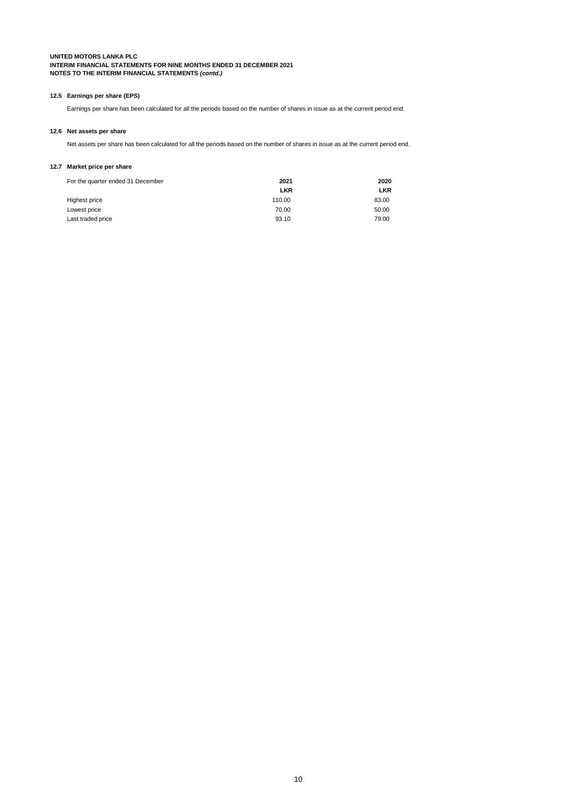### **12.5 Earnings per share (EPS)**

Earnings per share has been calculated for all the periods based on the number of shares in issue as at the current period end.

# **12.6 Net assets per share**

Net assets per share has been calculated for all the periods based on the number of shares in issue as at the current period end.

# **12.7 Market price per share**

| For the quarter ended 31 December | 2021       | 2020       |  |  |
|-----------------------------------|------------|------------|--|--|
|                                   | <b>LKR</b> | <b>LKR</b> |  |  |
| Highest price                     | 110.00     | 83.00      |  |  |
| Lowest price                      | 70.00      | 50.00      |  |  |
| Last traded price                 | 93.10      | 79.00      |  |  |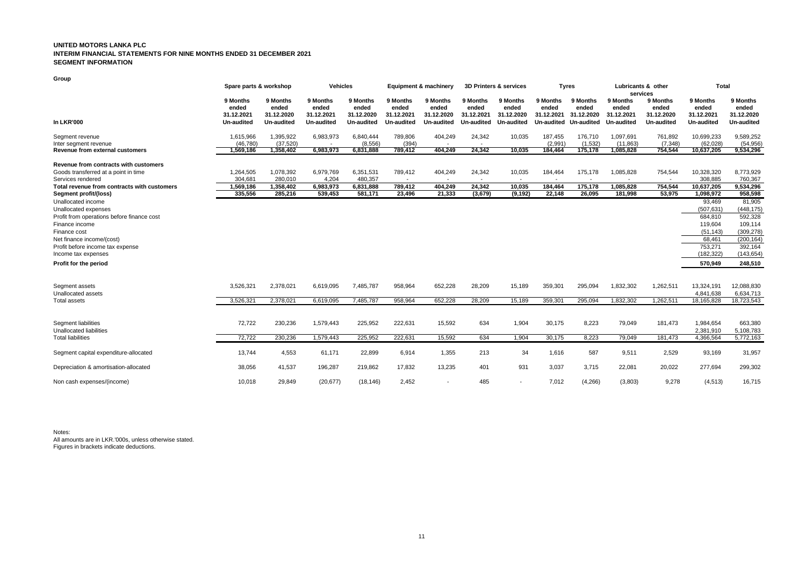#### **UNITED MOTORS LANKA PLC INTERIM FINANCIAL STATEMENTS FOR NINE MONTHS ENDED 31 DECEMBER 2021 SEGMENT INFORMATION**

**Group**

|                                                                                                                                                                                                                    | Spare parts & workshop                        |                                               |                                               | <b>Vehicles</b><br>Equipment & machinery      |                                                          |                                                          | 3D Printers & services                                  |                                                          | <b>Tyres</b>                                  |                                                      | Lubricants & other<br>services                |                                               | <b>Total</b>                                                                               |                                                                                                 |
|--------------------------------------------------------------------------------------------------------------------------------------------------------------------------------------------------------------------|-----------------------------------------------|-----------------------------------------------|-----------------------------------------------|-----------------------------------------------|----------------------------------------------------------|----------------------------------------------------------|---------------------------------------------------------|----------------------------------------------------------|-----------------------------------------------|------------------------------------------------------|-----------------------------------------------|-----------------------------------------------|--------------------------------------------------------------------------------------------|-------------------------------------------------------------------------------------------------|
| <b>In LKR'000</b>                                                                                                                                                                                                  | 9 Months<br>ended<br>31.12.2021<br>Un-audited | 9 Months<br>ended<br>31.12.2020<br>Un-audited | 9 Months<br>ended<br>31.12.2021<br>Un-audited | 9 Months<br>ended<br>31.12.2020<br>Un-audited | 9 Months<br>ended<br>31.12.2021<br>Un-audited            | 9 Months<br>ended<br>31.12.2020<br><b>Un-audited</b>     | 9 Months<br>ended<br>31.12.2021<br>Un-audited           | 9 Months<br>ended<br>31.12.2020<br>Un-audited            | 9 Months<br>ended<br>31.12.2021<br>Un-audited | 9 Months<br>ended<br>31.12.2020<br><b>Un-audited</b> | 9 Months<br>ended<br>31.12.2021<br>Un-audited | 9 Months<br>ended<br>31.12.2020<br>Un-audited | 9 Months<br>ended<br>31.12.2021<br>Un-audited                                              | 9 Months<br>ended<br>31.12.2020<br><b>Un-audited</b>                                            |
| Segment revenue<br>Inter segment revenue<br>Revenue from external customers                                                                                                                                        | 1,615,966<br>(46, 780)<br>1,569,186           | 1,395,922<br>(37, 520)<br>1,358,402           | 6,983,973<br>6,983,973                        | 6,840,444<br>(8,556)<br>6,831,888             | 789,806<br>(394)<br>789,412                              | 404,249<br>404,249                                       | 24,342<br>24,342                                        | 10,035<br>10,035                                         | 187,455<br>(2,991)<br>184,464                 | 176,710<br>(1,532)<br>175,178                        | 1,097,691<br>(11, 863)<br>1,085,828           | 761,892<br>(7, 348)<br>754,544                | 10,699,233<br>(62,028)<br>10,637,205                                                       | 9,589,252<br>(54, 956)<br>9,534,296                                                             |
| Revenue from contracts with customers<br>Goods transferred at a point in time<br>Services rendered<br>Total revenue from contracts with customers<br>Segment profit/(loss)                                         | 1,264,505<br>304.681<br>1,569,186<br>335,556  | 1,078,392<br>280.010<br>1,358,402<br>285,216  | 6,979,769<br>4,204<br>6,983,973<br>539,453    | 6,351,531<br>480.357<br>6,831,888<br>581,171  | 789,412<br>$\overline{\phantom{a}}$<br>789,412<br>23,496 | 404,249<br>$\overline{\phantom{a}}$<br>404,249<br>21,333 | 24,342<br>$\overline{\phantom{a}}$<br>24,342<br>(3,679) | 10,035<br>$\overline{\phantom{0}}$<br>10,035<br>(9, 192) | 184,464<br>184,464<br>22,148                  | 175,178<br>175,178<br>26,095                         | 1,085,828<br>1,085,828<br>181,998             | 754,544<br>754,544<br>53,975                  | 10,328,320<br>308.885<br>10,637,205<br>1,098,972                                           | 8,773,929<br>760,367<br>9,534,296<br>958,598                                                    |
| Unallocated income<br>Unallocated expenses<br>Profit from operations before finance cost<br>Finance income<br>Finance cost<br>Net finance income/(cost)<br>Profit before income tax expense<br>Income tax expenses |                                               |                                               |                                               |                                               |                                                          |                                                          |                                                         |                                                          |                                               |                                                      |                                               |                                               | 93,469<br>(507, 631)<br>684,810<br>119,604<br>(51, 143)<br>68,461<br>753,271<br>(182, 322) | 81,905<br>(448, 175)<br>592,328<br>109,114<br>(309, 278)<br>(200, 164)<br>392,164<br>(143, 654) |
| Profit for the period                                                                                                                                                                                              |                                               |                                               |                                               |                                               |                                                          |                                                          |                                                         |                                                          |                                               |                                                      |                                               |                                               | 570,949                                                                                    | 248,510                                                                                         |
| Segment assets<br>Unallocated assets<br><b>Total assets</b>                                                                                                                                                        | 3,526,321<br>3,526,321                        | 2,378,021<br>2,378,021                        | 6,619,095<br>6,619,095                        | 7,485,787<br>7,485,787                        | 958,964<br>958.964                                       | 652,228<br>652.228                                       | 28,209<br>28.209                                        | 15,189<br>15,189                                         | 359,301<br>359,301                            | 295,094<br>295.094                                   | 1,832,302<br>1.832.302                        | 1,262,511<br>1,262,511                        | 13,324,191<br>4,841,638<br>18,165,828                                                      | 12,088,830<br>6,634,713<br>18,723,543                                                           |
| Segment liabilities<br><b>Unallocated liabilities</b>                                                                                                                                                              | 72,722                                        | 230,236                                       | 1,579,443                                     | 225,952                                       | 222,631                                                  | 15,592                                                   | 634                                                     | 1,904                                                    | 30,175                                        | 8,223                                                | 79,049                                        | 181,473                                       | 1,984,654<br>2,381,910                                                                     | 663,380<br>5,108,783                                                                            |
| <b>Total liabilities</b>                                                                                                                                                                                           | 72,722                                        | 230,236                                       | 1,579,443                                     | 225,952                                       | 222,631                                                  | 15,592                                                   | 634                                                     | 1,904                                                    | 30,175                                        | 8,223                                                | 79,049                                        | 181,473                                       | 4,366,564                                                                                  | 5,772,163                                                                                       |
| Segment capital expenditure-allocated                                                                                                                                                                              | 13,744                                        | 4,553                                         | 61,171                                        | 22,899                                        | 6,914                                                    | 1,355                                                    | 213                                                     | 34                                                       | 1,616                                         | 587                                                  | 9,511                                         | 2,529                                         | 93,169                                                                                     | 31,957                                                                                          |
| Depreciation & amortisation-allocated                                                                                                                                                                              | 38,056                                        | 41,537                                        | 196,287                                       | 219,862                                       | 17,832                                                   | 13,235                                                   | 401                                                     | 931                                                      | 3,037                                         | 3,715                                                | 22,081                                        | 20,022                                        | 277,694                                                                                    | 299,302                                                                                         |
| Non cash expenses/(income)                                                                                                                                                                                         | 10,018                                        | 29,849                                        | (20, 677)                                     | (18, 146)                                     | 2,452                                                    |                                                          | 485                                                     |                                                          | 7,012                                         | (4,266)                                              | (3,803)                                       | 9,278                                         | (4, 513)                                                                                   | 16,715                                                                                          |

Notes: All amounts are in LKR.'000s, unless otherwise stated. Figures in brackets indicate deductions.